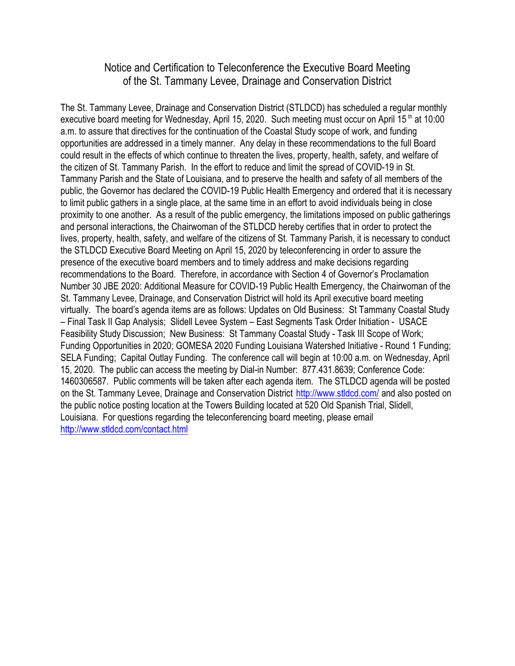#### Notice and Certification to Teleconference the Executive Board Meeting of the St. Tammany Levee, Drainage and Conservation District

The St. Tammany Levee, Drainage and Conservation District (STLDCD) has scheduled a regular monthly executive board meeting for Wednesday, April 15, 2020. Such meeting must occur on April 15<sup>th</sup> at 10:00 a.m. to assure that directives for the continuation of the Coastal Study scope of work, and funding opportunities are addressed in a timely manner. Any delay in these recommendations to the full Board could result in the effects of which continue to threaten the lives, property, health, safety, and welfare of the citizen of St. Tammany Parish. In the effort to reduce and limit the spread of COVID-19 in St. Tammany Parish and the State of Louisiana, and to preserve the health and safety of all members of the public, the Governor has declared the COVID-19 Public Health Emergency and ordered that it is necessary to limit public gathers in a single place, at the same time in an effort to avoid individuals being in close proximity to one another. As a result of the public emergency, the limitations imposed on public gatherings and personal interactions, the Chairwoman of the STLDCD hereby certifies that in order to protect the lives, property, health, safety, and welfare of the citizens of St. Tammany Parish, it is necessary to conduct the STLDCD Executive Board Meeting on April 15, 2020 by teleconferencing in order to assure the presence of the executive board members and to timely address and make decisions regarding recommendations to the Board. Therefore, in accordance with Section 4 of Governor's Proclamation Number 30 JBE 2020: Additional Measure for COVID-19 Public Health Emergency, the Chairwoman of the St. Tammany Levee, Drainage, and Conservation District will hold its April executive board meeting virtually. The board's agenda items are as follows: Updates on Old Business: St Tammany Coastal Study – Final Task II Gap Analysis; Slidell Levee System – East Segments Task Order Initiation - USACE Feasibility Study Discussion; New Business: St Tammany Coastal Study - Task III Scope of Work; Funding Opportunities in 2020; GOMESA 2020 Funding Louisiana Watershed Initiative - Round 1 Funding; SELA Funding; Capital Outlay Funding. The conference call will begin at 10:00 a.m. on Wednesday, April 15, 2020. The public can access the meeting by Dial-in Number: 877.431.8639; Conference Code: 1460306587. Public comments will be taken after each agenda item. The STLDCD agenda will be posted on the St. Tammany Levee, Drainage and Conservation District <http://www.stldcd.com/> and also posted on the public notice posting location at the Towers Building located at 520 Old Spanish Trial, Slidell, Louisiana. For questions regarding the teleconferencing board meeting, please email <http://www.stldcd.com/contact.html>